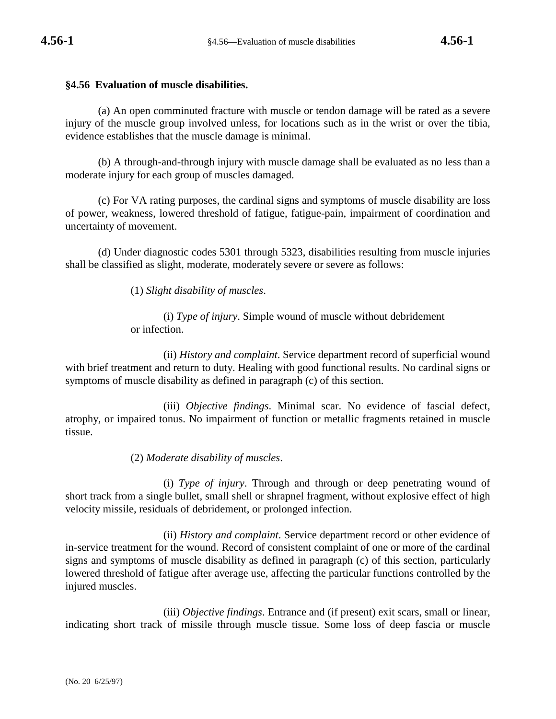## **§4.56 Evaluation of muscle disabilities.**

(a) An open comminuted fracture with muscle or tendon damage will be rated as a severe injury of the muscle group involved unless, for locations such as in the wrist or over the tibia, evidence establishes that the muscle damage is minimal.

(b) A through-and-through injury with muscle damage shall be evaluated as no less than a moderate injury for each group of muscles damaged.

(c) For VA rating purposes, the cardinal signs and symptoms of muscle disability are loss of power, weakness, lowered threshold of fatigue, fatigue-pain, impairment of coordination and uncertainty of movement.

(d) Under diagnostic codes 5301 through 5323, disabilities resulting from muscle injuries shall be classified as slight, moderate, moderately severe or severe as follows:

(1) *Slight disability of muscles*.

(i) *Type of injury*. Simple wound of muscle without debridement or infection.

(ii) *History and complaint*. Service department record of superficial wound with brief treatment and return to duty. Healing with good functional results. No cardinal signs or symptoms of muscle disability as defined in paragraph (c) of this section.

(iii) *Objective findings*. Minimal scar. No evidence of fascial defect, atrophy, or impaired tonus. No impairment of function or metallic fragments retained in muscle tissue.

(2) *Moderate disability of muscles*.

(i) *Type of injury*. Through and through or deep penetrating wound of short track from a single bullet, small shell or shrapnel fragment, without explosive effect of high velocity missile, residuals of debridement, or prolonged infection.

(ii) *History and complaint*. Service department record or other evidence of in-service treatment for the wound. Record of consistent complaint of one or more of the cardinal signs and symptoms of muscle disability as defined in paragraph (c) of this section, particularly lowered threshold of fatigue after average use, affecting the particular functions controlled by the injured muscles.

(iii) *Objective findings*. Entrance and (if present) exit scars, small or linear, indicating short track of missile through muscle tissue. Some loss of deep fascia or muscle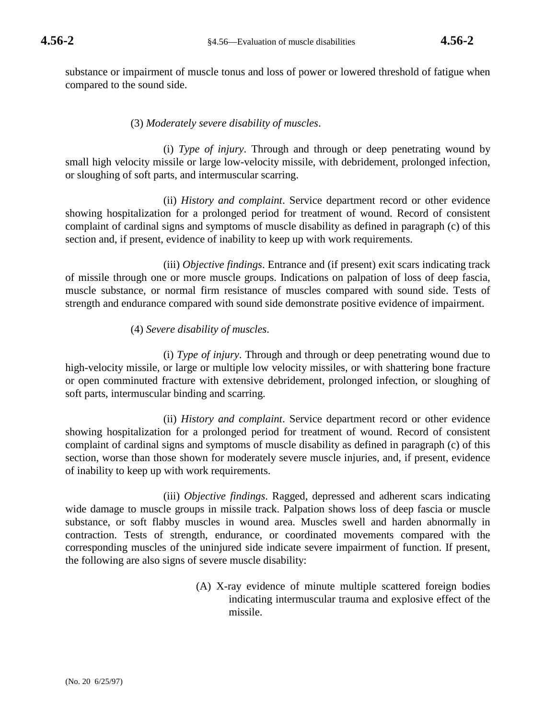substance or impairment of muscle tonus and loss of power or lowered threshold of fatigue when compared to the sound side.

## (3) *Moderately severe disability of muscles*.

(i) *Type of injury*. Through and through or deep penetrating wound by small high velocity missile or large low-velocity missile, with debridement, prolonged infection, or sloughing of soft parts, and intermuscular scarring.

(ii) *History and complaint*. Service department record or other evidence showing hospitalization for a prolonged period for treatment of wound. Record of consistent complaint of cardinal signs and symptoms of muscle disability as defined in paragraph (c) of this section and, if present, evidence of inability to keep up with work requirements.

(iii) *Objective findings*. Entrance and (if present) exit scars indicating track of missile through one or more muscle groups. Indications on palpation of loss of deep fascia, muscle substance, or normal firm resistance of muscles compared with sound side. Tests of strength and endurance compared with sound side demonstrate positive evidence of impairment.

## (4) *Severe disability of muscles*.

(i) *Type of injury*. Through and through or deep penetrating wound due to high-velocity missile, or large or multiple low velocity missiles, or with shattering bone fracture or open comminuted fracture with extensive debridement, prolonged infection, or sloughing of soft parts, intermuscular binding and scarring.

(ii) *History and complaint*. Service department record or other evidence showing hospitalization for a prolonged period for treatment of wound. Record of consistent complaint of cardinal signs and symptoms of muscle disability as defined in paragraph (c) of this section, worse than those shown for moderately severe muscle injuries, and, if present, evidence of inability to keep up with work requirements.

(iii) *Objective findings*. Ragged, depressed and adherent scars indicating wide damage to muscle groups in missile track. Palpation shows loss of deep fascia or muscle substance, or soft flabby muscles in wound area. Muscles swell and harden abnormally in contraction. Tests of strength, endurance, or coordinated movements compared with the corresponding muscles of the uninjured side indicate severe impairment of function. If present, the following are also signs of severe muscle disability:

> (A) X-ray evidence of minute multiple scattered foreign bodies indicating intermuscular trauma and explosive effect of the missile.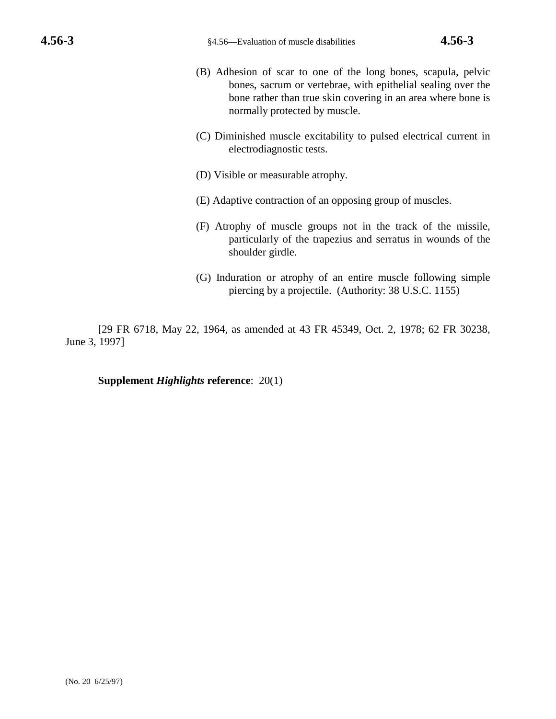- (B) Adhesion of scar to one of the long bones, scapula, pelvic bones, sacrum or vertebrae, with epithelial sealing over the bone rather than true skin covering in an area where bone is normally protected by muscle.
- (C) Diminished muscle excitability to pulsed electrical current in electrodiagnostic tests.
- (D) Visible or measurable atrophy.
- (E) Adaptive contraction of an opposing group of muscles.
- (F) Atrophy of muscle groups not in the track of the missile, particularly of the trapezius and serratus in wounds of the shoulder girdle.
- (G) Induration or atrophy of an entire muscle following simple piercing by a projectile. (Authority: 38 U.S.C. 1155)

[29 FR 6718, May 22, 1964, as amended at 43 FR 45349, Oct. 2, 1978; 62 FR 30238, June 3, 1997]

## **Supplement** *Highlights* **reference**: 20(1)